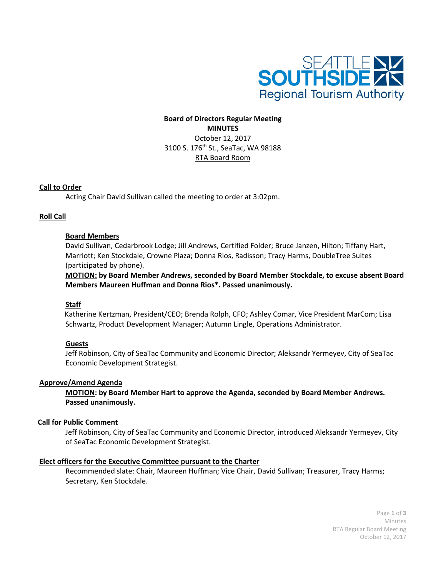

# **Board of Directors Regular Meeting MINUTES** October 12, 2017 3100 S. 176th St., SeaTac, WA 98188 RTA Board Room

### **Call to Order**

Acting Chair David Sullivan called the meeting to order at 3:02pm.

### **Roll Call**

### **Board Members**

David Sullivan, Cedarbrook Lodge; Jill Andrews, Certified Folder; Bruce Janzen, Hilton; Tiffany Hart, Marriott; Ken Stockdale, Crowne Plaza; Donna Rios, Radisson; Tracy Harms, DoubleTree Suites (participated by phone).

**MOTION: by Board Member Andrews, seconded by Board Member Stockdale, to excuse absent Board Members Maureen Huffman and Donna Rios\*. Passed unanimously.**

#### **Staff**

Katherine Kertzman, President/CEO; Brenda Rolph, CFO; Ashley Comar, Vice President MarCom; Lisa Schwartz, Product Development Manager; Autumn Lingle, Operations Administrator.

### **Guests**

Jeff Robinson, City of SeaTac Community and Economic Director; Aleksandr Yermeyev, City of SeaTac Economic Development Strategist.

#### **Approve/Amend Agenda**

**MOTION: by Board Member Hart to approve the Agenda, seconded by Board Member Andrews. Passed unanimously.**

#### **Call for Public Comment**

Jeff Robinson, City of SeaTac Community and Economic Director, introduced Aleksandr Yermeyev, City of SeaTac Economic Development Strategist.

#### **Elect officers for the Executive Committee pursuant to the Charter**

Recommended slate: Chair, Maureen Huffman; Vice Chair, David Sullivan; Treasurer, Tracy Harms; Secretary, Ken Stockdale.

> Page **1** of **3** Minutes RTA Regular Board Meeting October 12, 2017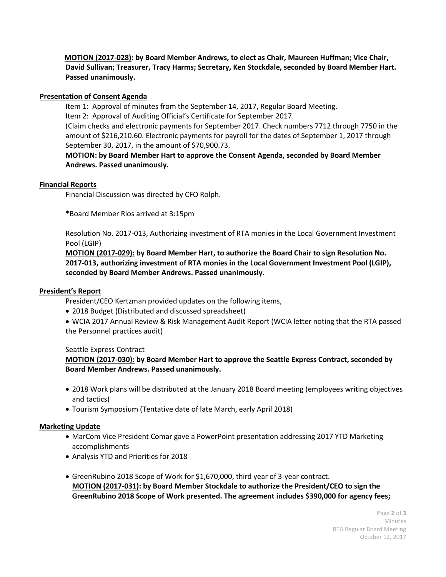**MOTION (2017-028): by Board Member Andrews, to elect as Chair, Maureen Huffman; Vice Chair, David Sullivan; Treasurer, Tracy Harms; Secretary, Ken Stockdale, seconded by Board Member Hart. Passed unanimously.**

# **Presentation of Consent Agenda**

Item 1: Approval of minutes from the September 14, 2017, Regular Board Meeting.

Item 2: Approval of Auditing Official's Certificate for September 2017.

(Claim checks and electronic payments for September 2017. Check numbers 7712 through 7750 in the amount of \$216,210.60. Electronic payments for payroll for the dates of September 1, 2017 through September 30, 2017, in the amount of \$70,900.73.

# **MOTION: by Board Member Hart to approve the Consent Agenda, seconded by Board Member Andrews. Passed unanimously.**

### **Financial Reports**

Financial Discussion was directed by CFO Rolph.

\*Board Member Rios arrived at 3:15pm

Resolution No. 2017-013, Authorizing investment of RTA monies in the Local Government Investment Pool (LGIP)

**MOTION (2017-029): by Board Member Hart, to authorize the Board Chair to sign Resolution No. 2017-013, authorizing investment of RTA monies in the Local Government Investment Pool (LGIP), seconded by Board Member Andrews. Passed unanimously.** 

# **President's Report**

President/CEO Kertzman provided updates on the following items,

- 2018 Budget (Distributed and discussed spreadsheet)
- WCIA 2017 Annual Review & Risk Management Audit Report (WCIA letter noting that the RTA passed the Personnel practices audit)

### Seattle Express Contract

**MOTION (2017-030): by Board Member Hart to approve the Seattle Express Contract, seconded by Board Member Andrews. Passed unanimously.**

- 2018 Work plans will be distributed at the January 2018 Board meeting (employees writing objectives and tactics)
- Tourism Symposium (Tentative date of late March, early April 2018)

### **Marketing Update**

- MarCom Vice President Comar gave a PowerPoint presentation addressing 2017 YTD Marketing accomplishments
- Analysis YTD and Priorities for 2018
- GreenRubino 2018 Scope of Work for \$1,670,000, third year of 3-year contract. **MOTION (2017-031): by Board Member Stockdale to authorize the President/CEO to sign the GreenRubino 2018 Scope of Work presented. The agreement includes \$390,000 for agency fees;**